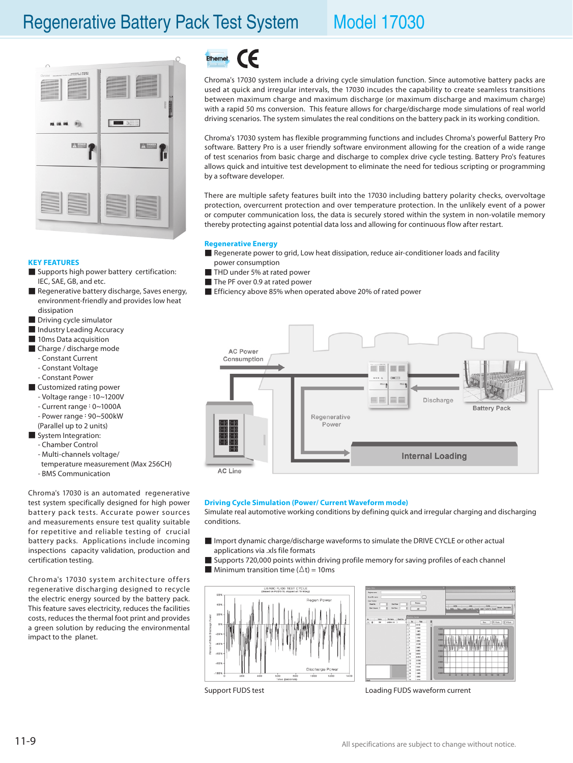

## $\epsilon$ Ethernet

Chroma's 17030 system include a driving cycle simulation function. Since automotive battery packs are used at quick and irregular intervals, the 17030 incudes the capability to create seamless transitions between maximum charge and maximum discharge (or maximum discharge and maximum charge) with a rapid 50 ms conversion. This feature allows for charge/discharge mode simulations of real world driving scenarios. The system simulates the real conditions on the battery pack in its working condition.

Chroma's 17030 system has flexible programming functions and includes Chroma's powerful Battery Pro software. Battery Pro is a user friendly software environment allowing for the creation of a wide range of test scenarios from basic charge and discharge to complex drive cycle testing. Battery Pro's features allows quick and intuitive test development to eliminate the need for tedious scripting or programming by a software developer.

There are multiple safety features built into the 17030 including battery polarity checks, overvoltage protection, overcurrent protection and over temperature protection. In the unlikely event of a power or computer communication loss, the data is securely stored within the system in non-volatile memory thereby protecting against potential data loss and allowing for continuous flow after restart.

## **Regenerative Energy**

- Regenerate power to grid, Low heat dissipation, reduce air-conditioner loads and facility power consumption
- THD under 5% at rated power
- The PF over 0.9 at rated power
- Efficiency above 85% when operated above 20% of rated power



### **Driving Cycle Simulation (Power/ Current Waveform mode)**

Simulate real automotive working conditions by defining quick and irregular charging and discharging conditions.

- Import dynamic charge/discharge waveforms to simulate the DRIVE CYCLE or other actual applications via .xls file formats
- Supports 720,000 points within driving profile memory for saving profiles of each channel
- **Minimum transition time (** $\Delta t$ ) = 10ms





Support FUDS test **Loading FUDS** waveform current

### **KEY FEATURES**

- Supports high power battery certification: IEC, SAE, GB, and etc.
- Regenerative battery discharge, Saves energy, environment-friendly and provides low heat dissipation
- Driving cycle simulator
- Industry Leading Accuracy
- 10ms Data acquisition
- Charge / discharge mode
	- Constant Current
	- Constant Voltage
	- Constant Power
- Customized rating power
	- Voltage range:10~1200V
	- Current range:0~1000A
	- Power range:90~500kW
	- (Parallel up to 2 units)
- System Integration:
	- Chamber Control
	- Multi-channels voltage/
	- temperature measurement (Max 256CH)
	- BMS Communication

Chroma's 17030 is an automated regenerative test system specifically designed for high power battery pack tests. Accurate power sources and measurements ensure test quality suitable for repetitive and reliable testing of crucial battery packs. Applications include incoming inspections capacity validation, production and certification testing.

Chroma's 17030 system architecture offers regenerative discharging designed to recycle the electric energy sourced by the battery pack. This feature saves electricity, reduces the facilities costs, reduces the thermal foot print and provides a green solution by reducing the environmental impact to the planet.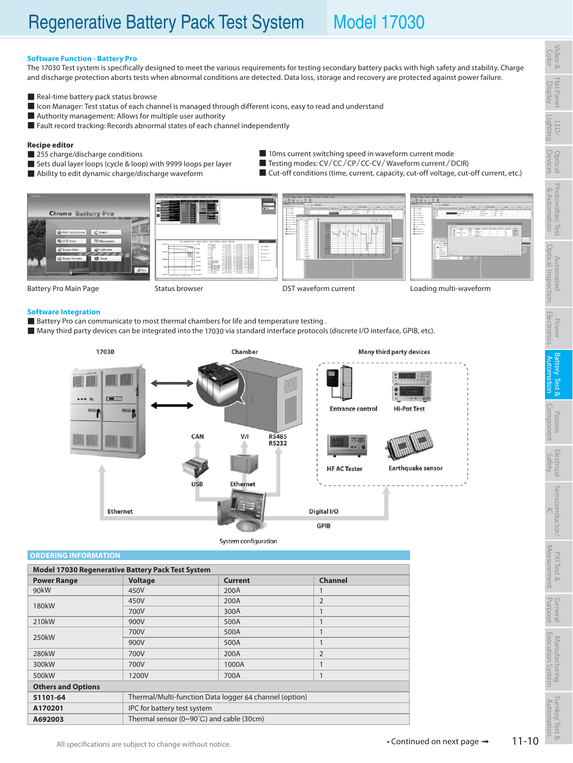## **Software Function - Battery Pro**

The 17030 Test system is specifically designed to meet the various requirements for testing secondary battery packs with high safety and stability. Charge and discharge protection aborts tests when abnormal conditions are detected. Data loss, storage and recovery are protected against power failure.

- Real-time battery pack status browse
- Icon Manager: Test status of each channel is managed through different icons, easy to read and understand
- Authority management: Allows for multiple user authority
- Fault record tracking: Records abnormal states of each channel independently

### **Recipe editor**

- 255 charge/discharge conditions
- Sets dual layer loops (cycle & loop) with 9999 loops per layer
- Ability to edit dynamic charge/discharge waveform
- 10ms current switching speed in waveform current mode
- Testing modes: CV/CC/CP/CC-CV/Waveform current / DCIR) ■ Cut-off conditions (time, current, capacity, cut-off voltage, cut-off current, etc.)











Battery Pro Main Page Status browser Communication CDST waveform current Loading multi-waveform

### **Software Integration**

- Battery Pro can communicate to most thermal chambers for life and temperature testing .
- Many third party devices can be integrated into the 17030 via standard interface protocols (discrete I/O interface, GPIB, etc).



System configuration

**ORDERING INFORMATION**

| <b>Model 17030 Regenerative Battery Pack Test System</b> |                |                                                          |                |  |  |  |
|----------------------------------------------------------|----------------|----------------------------------------------------------|----------------|--|--|--|
| <b>Power Range</b>                                       | <b>Voltage</b> | <b>Current</b>                                           | <b>Channel</b> |  |  |  |
| 90kW                                                     | 450V           | 200A                                                     |                |  |  |  |
| 180 <sub>k</sub> W                                       | 450V           | 200A                                                     | $\overline{2}$ |  |  |  |
|                                                          | 700V           | 300A                                                     | 1              |  |  |  |
| 210 <sub>k</sub> W                                       | 900V           | 500A                                                     |                |  |  |  |
| 250kW                                                    | 700V           | 500A                                                     | 1              |  |  |  |
|                                                          | 900V           | 500A                                                     | 1              |  |  |  |
| 280kW                                                    | 700V           | 200A                                                     | $\overline{2}$ |  |  |  |
| 300kW                                                    | 700V           | 1000A                                                    | 1              |  |  |  |
| 500 <sub>k</sub> W                                       | 1200V          | 700A                                                     |                |  |  |  |
| <b>Others and Options</b>                                |                |                                                          |                |  |  |  |
| 51101-64                                                 |                | Thermal/Multi-function Data logger 64 channel (option)   |                |  |  |  |
| A170201                                                  |                | IPC for battery test system                              |                |  |  |  |
| A692003                                                  |                | Thermal sensor ( $0 \sim 90^{\circ}$ C) and cable (30cm) |                |  |  |  |

Flat Panel Display

LED/ Lighting<br>Lighting

Optical Devices

Video & Color

Photovoltaic

&

Automation

Test

Test &

System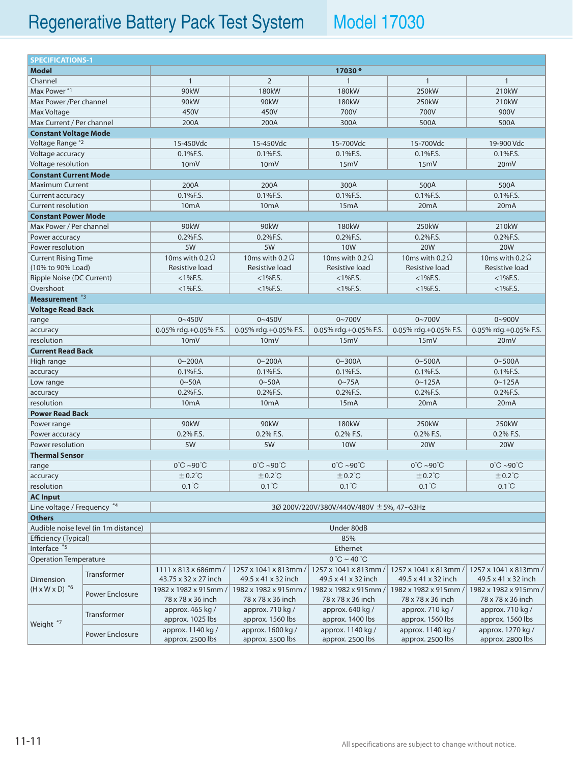| <b>SPECIFICATIONS-1</b>                            |                                                                          |                                           |                                |                                |                                |                                |  |
|----------------------------------------------------|--------------------------------------------------------------------------|-------------------------------------------|--------------------------------|--------------------------------|--------------------------------|--------------------------------|--|
| <b>Model</b>                                       |                                                                          |                                           |                                | 17030*                         |                                |                                |  |
| Channel                                            |                                                                          | $\mathbf{1}$                              | $\overline{2}$                 | $\mathbf{1}$                   | $\mathbf{1}$                   | $\mathbf{1}$                   |  |
| Max Power*1                                        |                                                                          | 90kW                                      | 180kW                          | 180kW                          | 250kW                          | 210kW                          |  |
| Max Power /Per channel                             |                                                                          | 90kW                                      | 90kW                           | 180kW                          | 250kW                          | 210kW                          |  |
| Max Voltage                                        |                                                                          | 450V                                      | 450V                           | 700V                           | 700V                           | 900V                           |  |
| Max Current / Per channel                          |                                                                          | 200A                                      | 200A                           | 300A                           | 500A                           | 500A                           |  |
| <b>Constant Voltage Mode</b>                       |                                                                          |                                           |                                |                                |                                |                                |  |
| Voltage Range *2                                   |                                                                          | 15-450Vdc                                 | 15-450Vdc                      | 15-700Vdc                      | 15-700Vdc                      | 19-900 Vdc                     |  |
| Voltage accuracy                                   |                                                                          | 0.1%F.S.                                  | 0.1%F.S.                       | 0.1%F.S.                       | 0.1%F.S.                       | 0.1%F.S.                       |  |
| Voltage resolution                                 |                                                                          | 10 <sub>mV</sub>                          | 10 <sub>m</sub> V              | 15mV                           | 15mV                           | 20 <sub>m</sub> V              |  |
| <b>Constant Current Mode</b>                       |                                                                          |                                           |                                |                                |                                |                                |  |
| <b>Maximum Current</b>                             |                                                                          | 200A                                      | 200A                           | 300A                           | 500A                           | 500A                           |  |
| Current accuracy                                   |                                                                          | 0.1%F.S.                                  | 0.1%F.S.                       | 0.1%F.S.                       | 0.1%F.S.                       | 0.1%F.S.                       |  |
| <b>Current resolution</b>                          |                                                                          | 10 <sub>m</sub> A                         | 10 <sub>m</sub> A              | 15mA                           | 20 <sub>m</sub> A              | 20 <sub>m</sub> A              |  |
| <b>Constant Power Mode</b>                         |                                                                          |                                           |                                |                                |                                |                                |  |
| Max Power / Per channel                            |                                                                          | 90kW                                      | 90kW                           | 180kW                          | 250kW                          | 210kW                          |  |
| Power accuracy                                     |                                                                          | 0.2%F.S.                                  | 0.2%F.S.                       | 0.2%F.S.                       | 0.2%F.S.                       | 0.2%F.S.                       |  |
| Power resolution                                   |                                                                          | 5W                                        | 5W                             | <b>10W</b>                     | <b>20W</b>                     | <b>20W</b>                     |  |
| <b>Current Rising Time</b>                         |                                                                          | 10ms with 0.2 $\Omega$                    | 10ms with 0.2 $\Omega$         | 10ms with 0.2 $\Omega$         | 10ms with 0.2 $\Omega$         | 10ms with 0.2 $\Omega$         |  |
| (10% to 90% Load)                                  |                                                                          | Resistive load                            | Resistive load                 | Resistive load                 | Resistive load                 | Resistive load                 |  |
| Ripple Noise (DC Current)                          |                                                                          | $<$ 1%F.S.                                | $<$ 1%F.S.                     | $<$ 1%F.S.                     | $<$ 1%F.S.                     | $<$ 1%F.S.                     |  |
| Overshoot                                          |                                                                          | $<$ 1%F.S.                                | $<$ 1%F.S.                     | $<$ 1%F.S.                     | $<$ 1%F.S.                     | $<$ 1%F.S.                     |  |
| Measurement <sup>*3</sup>                          |                                                                          |                                           |                                |                                |                                |                                |  |
| <b>Voltage Read Back</b>                           |                                                                          |                                           |                                |                                |                                |                                |  |
| range                                              |                                                                          | $0 - 450V$                                | $0 - 450V$                     | $0 - 700V$                     | $0 - 700V$                     | $0 - 900V$                     |  |
| accuracy                                           |                                                                          | 0.05% rdg.+0.05% F.S.                     | 0.05% rdg.+0.05% F.S.          | 0.05% rdg.+0.05% F.S.          | 0.05% rdg.+0.05% F.S.          | 0.05% rdg.+0.05% F.S.          |  |
| resolution                                         |                                                                          | 10mV                                      | 10mV                           | 15mV                           | 15mV                           | 20mV                           |  |
| <b>Current Read Back</b>                           |                                                                          |                                           |                                |                                |                                |                                |  |
| High range                                         |                                                                          | $0 - 200A$                                | $0 - 200A$                     | $0 - 300A$                     | $0 - 500A$                     | $0 - 500A$                     |  |
| accuracy                                           |                                                                          | 0.1%F.S.                                  | 0.1%F.S.                       | 0.1%F.S.                       | 0.1%F.S.                       | 0.1%F.S.                       |  |
| Low range                                          |                                                                          | $0 - 50A$                                 | $0 - 50A$                      | $0 - 75A$                      | $0 - 125A$                     | $0 - 125A$                     |  |
| accuracy                                           |                                                                          | $0.2%$ F.S.                               | $0.2%$ F.S.                    | $0.2%$ F.S.                    | $0.2%$ F.S.                    | $0.2%$ F.S.                    |  |
| resolution                                         |                                                                          | 10 <sub>m</sub> A                         | 10 <sub>m</sub> A              | 15mA                           | 20 <sub>m</sub> A              | 20 <sub>m</sub> A              |  |
| <b>Power Read Back</b>                             |                                                                          |                                           |                                |                                |                                |                                |  |
| Power range                                        |                                                                          | 90kW                                      | 90kW                           | 180kW                          | 250kW                          | 250kW                          |  |
| Power accuracy                                     |                                                                          | 0.2% F.S.                                 | 0.2% F.S.                      | 0.2% F.S.                      | 0.2% F.S.                      | 0.2% F.S.                      |  |
| Power resolution                                   |                                                                          | 5W                                        | 5W                             | <b>10W</b>                     | <b>20W</b>                     | <b>20W</b>                     |  |
| <b>Thermal Sensor</b>                              |                                                                          |                                           |                                |                                |                                |                                |  |
| range                                              |                                                                          | $0^{\circ}$ C ~90 $^{\circ}$ C            | $0^{\circ}$ C ~90 $^{\circ}$ C | $0^{\circ}$ C ~90 $^{\circ}$ C | $0^{\circ}$ C ~90 $^{\circ}$ C | $0^{\circ}$ C ~90 $^{\circ}$ C |  |
| accuracy                                           |                                                                          | $±0.2^{\circ}C$                           | $±0.2^{\circ}C$                | $±0.2^{\circ}C$                | $±0.2^{\circ}C$                | $±0.2^{\circ}C$                |  |
| resolution                                         |                                                                          | $0.1^{\circ}$ C                           | $0.1^{\circ}$ C                | $0.1^{\circ}$ C                | $0.1^{\circ}$ C                | $0.1^{\circ}$ C                |  |
| <b>AC Input</b>                                    |                                                                          |                                           |                                |                                |                                |                                |  |
|                                                    | Line voltage / Frequency *4<br>3Ø 200V/220V/380V/440V/480V ± 5%, 47~63Hz |                                           |                                |                                |                                |                                |  |
| <b>Others</b>                                      |                                                                          |                                           |                                |                                |                                |                                |  |
|                                                    | Audible noise level (in 1m distance)<br>Under 80dB                       |                                           |                                |                                |                                |                                |  |
| Efficiency (Typical)                               |                                                                          | 85%                                       |                                |                                |                                |                                |  |
| Interface *5                                       |                                                                          | Ethernet                                  |                                |                                |                                |                                |  |
| <b>Operation Temperature</b>                       |                                                                          | $0^\circ \text{C} \sim 40^\circ \text{C}$ |                                |                                |                                |                                |  |
| Dimension<br>$(H \times W \times D)$ <sup>*6</sup> | Transformer                                                              | 1111 x 813 x 686mm /                      | 1257 x 1041 x 813mm /          | 1257 x 1041 x 813mm /          | 1257 x 1041 x 813mm /          | 1257 x 1041 x 813mm /          |  |
|                                                    |                                                                          | 43.75 x 32 x 27 inch                      | 49.5 x 41 x 32 inch            | 49.5 x 41 x 32 inch            | 49.5 x 41 x 32 inch            | 49.5 x 41 x 32 inch            |  |
|                                                    |                                                                          | 1982 x 1982 x 915mm /                     | 1982 x 1982 x 915mm /          | 1982 x 1982 x 915mm /          | 1982 x 1982 x 915mm /          | 1982 x 1982 x 915mm /          |  |
|                                                    | Power Enclosure                                                          | 78 x 78 x 36 inch                         | 78 x 78 x 36 inch              | 78 x 78 x 36 inch              | 78 x 78 x 36 inch              | 78 x 78 x 36 inch              |  |
| Weight <sup>*7</sup>                               | <b>Transformer</b>                                                       | approx. 465 kg /                          | approx. 710 kg /               | approx. 640 kg /               | approx. 710 kg /               | approx. 710 kg /               |  |
|                                                    |                                                                          | approx. 1025 lbs                          | approx. 1560 lbs               | approx. 1400 lbs               | approx. 1560 lbs               | approx. 1560 lbs               |  |
|                                                    | Power Enclosure                                                          | approx. 1140 kg /                         | approx. 1600 kg /              | approx. 1140 kg /              | approx. 1140 kg /              | approx. 1270 kg /              |  |
|                                                    |                                                                          | approx. 2500 lbs                          | approx. 3500 lbs               | approx. 2500 lbs               | approx. 2500 lbs               | approx. 2800 lbs               |  |